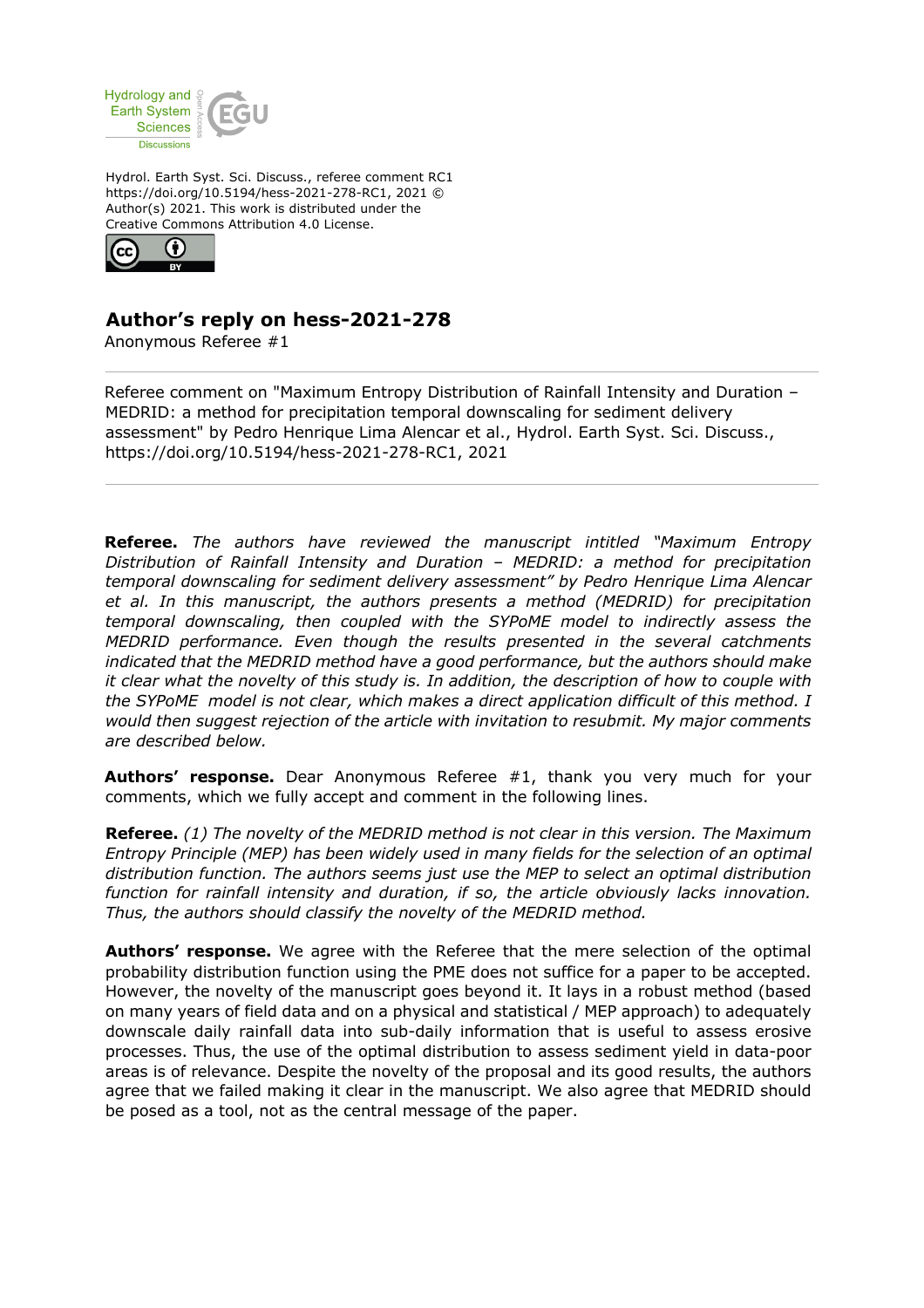

Hydrol. Earth Syst. Sci. Discuss., referee comment RC1 https://doi.org/10.5194/hess-2021-278-RC1, 2021 © Author(s) 2021. This work is distributed under the Creative Commons Attribution 4.0 License.



## **Author's reply on hess-2021-278**

Anonymous Referee #1

Referee comment on "Maximum Entropy Distribution of Rainfall Intensity and Duration – MEDRID: a method for precipitation temporal downscaling for sediment delivery assessment" by Pedro Henrique Lima Alencar et al., Hydrol. Earth Syst. Sci. Discuss., https://doi.org/10.5194/hess-2021-278-RC1, 2021

**Referee.** *The authors have reviewed the manuscript intitled "Maximum Entropy Distribution of Rainfall Intensity and Duration – MEDRID: a method for precipitation temporal downscaling for sediment delivery assessment" by Pedro Henrique Lima Alencar et al. In this manuscript, the authors presents a method (MEDRID) for precipitation temporal downscaling, then coupled with the SYPoME model to indirectly assess the MEDRID performance. Even though the results presented in the several catchments indicated that the MEDRID method have a good performance, but the authors should make it clear what the novelty of this study is. In addition, the description of how to couple with the SYPoME model is not clear, which makes a direct application difficult of this method. I would then suggest rejection of the article with invitation to resubmit. My major comments are described below.*

**Authors' response.** Dear Anonymous Referee #1, thank you very much for your comments, which we fully accept and comment in the following lines.

**Referee.** *(1) The novelty of the MEDRID method is not clear in this version. The Maximum Entropy Principle (MEP) has been widely used in many fields for the selection of an optimal distribution function. The authors seems just use the MEP to select an optimal distribution function for rainfall intensity and duration, if so, the article obviously lacks innovation. Thus, the authors should classify the novelty of the MEDRID method.*

**Authors' response.** We agree with the Referee that the mere selection of the optimal probability distribution function using the PME does not suffice for a paper to be accepted. However, the novelty of the manuscript goes beyond it. It lays in a robust method (based on many years of field data and on a physical and statistical / MEP approach) to adequately downscale daily rainfall data into sub-daily information that is useful to assess erosive processes. Thus, the use of the optimal distribution to assess sediment yield in data-poor areas is of relevance. Despite the novelty of the proposal and its good results, the authors agree that we failed making it clear in the manuscript. We also agree that MEDRID should be posed as a tool, not as the central message of the paper.